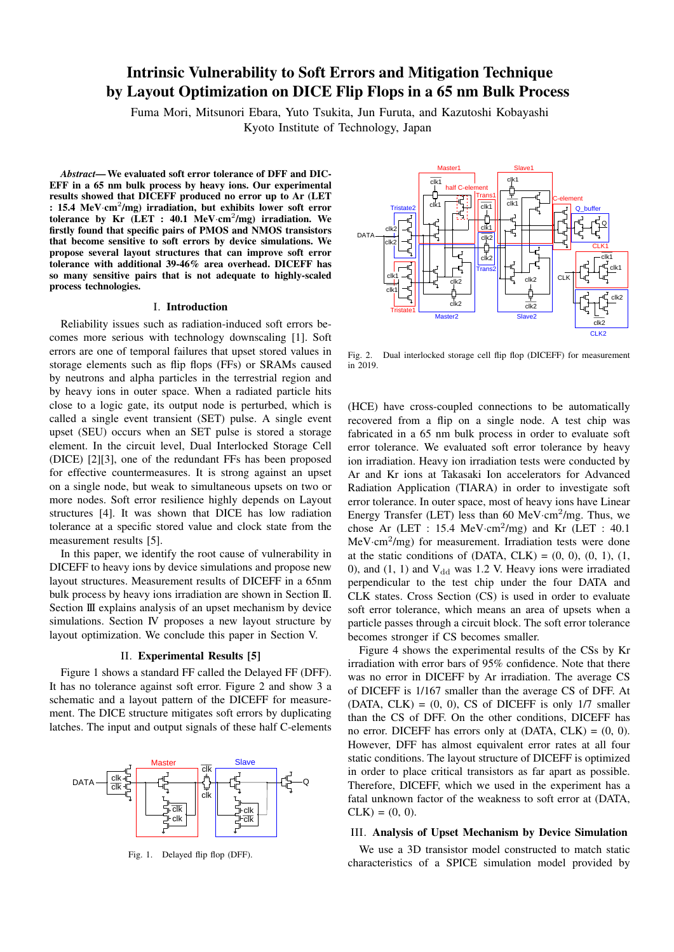# Intrinsic Vulnerability to Soft Errors and Mitigation Technique by Layout Optimization on DICE Flip Flops in a 65 nm Bulk Process

Fuma Mori, Mitsunori Ebara, Yuto Tsukita, Jun Furuta, and Kazutoshi Kobayashi Kyoto Institute of Technology, Japan

*Abstract*—We evaluated soft error tolerance of DFF and DIC-EFF in a 65 nm bulk process by heavy ions. Our experimental results showed that DICEFF produced no error up to Ar (LET : 15.4 MeV·cm<sup>2</sup>/mg) irradiation, but exhibits lower soft error tolerance by Kr (LET : 40.1 MeV·cm<sup>2</sup>/mg) irradiation. We firstly found that specific pairs of PMOS and NMOS transistors that become sensitive to soft errors by device simulations. We propose several layout structures that can improve soft error tolerance with additional 39-46% area overhead. DICEFF has so many sensitive pairs that is not adequate to highly-scaled process technologies.

#### I. Introduction

Reliability issues such as radiation-induced soft errors becomes more serious with technology downscaling [1]. Soft errors are one of temporal failures that upset stored values in storage elements such as flip flops (FFs) or SRAMs caused by neutrons and alpha particles in the terrestrial region and by heavy ions in outer space. When a radiated particle hits close to a logic gate, its output node is perturbed, which is called a single event transient (SET) pulse. A single event upset (SEU) occurs when an SET pulse is stored a storage element. In the circuit level, Dual Interlocked Storage Cell (DICE) [2][3], one of the redundant FFs has been proposed for effective countermeasures. It is strong against an upset on a single node, but weak to simultaneous upsets on two or more nodes. Soft error resilience highly depends on Layout structures [4]. It was shown that DICE has low radiation tolerance at a specific stored value and clock state from the measurement results [5].

In this paper, we identify the root cause of vulnerability in DICEFF to heavy ions by device simulations and propose new layout structures. Measurement results of DICEFF in a 65nm bulk process by heavy ions irradiation are shown in Section II. Section III explains analysis of an upset mechanism by device simulations. Section IV proposes a new layout structure by layout optimization. We conclude this paper in Section V.

#### II. Experimental Results [5]

Figure 1 shows a standard FF called the Delayed FF (DFF). It has no tolerance against soft error. Figure 2 and show 3 a schematic and a layout pattern of the DICEFF for measurement. The DICE structure mitigates soft errors by duplicating latches. The input and output signals of these half C-elements



Fig. 1. Delayed flip flop (DFF).



Fig. 2. Dual interlocked storage cell flip flop (DICEFF) for measurement in 2019.

(HCE) have cross-coupled connections to be automatically recovered from a flip on a single node. A test chip was fabricated in a 65 nm bulk process in order to evaluate soft error tolerance. We evaluated soft error tolerance by heavy ion irradiation. Heavy ion irradiation tests were conducted by Ar and Kr ions at Takasaki Ion accelerators for Advanced Radiation Application (TIARA) in order to investigate soft error tolerance. In outer space, most of heavy ions have Linear Energy Transfer (LET) less than 60 MeV·cm<sup>2</sup>/mg. Thus, we chose Ar (LET : 15.4 MeV*·*cm<sup>2</sup> /mg) and Kr (LET : 40.1 MeV*·*cm<sup>2</sup> /mg) for measurement. Irradiation tests were done at the static conditions of  $(DATA, CLK) = (0, 0), (0, 1), (1, 0)$ 0), and  $(1, 1)$  and  $V_{dd}$  was 1.2 V. Heavy ions were irradiated perpendicular to the test chip under the four DATA and CLK states. Cross Section (CS) is used in order to evaluate soft error tolerance, which means an area of upsets when a particle passes through a circuit block. The soft error tolerance becomes stronger if CS becomes smaller.

Figure 4 shows the experimental results of the CSs by Kr irradiation with error bars of 95% confidence. Note that there was no error in DICEFF by Ar irradiation. The average CS of DICEFF is 1/167 smaller than the average CS of DFF. At  $(DATA, CLK) = (0, 0)$ , CS of DICEFF is only 1/7 smaller than the CS of DFF. On the other conditions, DICEFF has no error. DICEFF has errors only at  $(DATA, CLK) = (0, 0)$ . However, DFF has almost equivalent error rates at all four static conditions. The layout structure of DICEFF is optimized in order to place critical transistors as far apart as possible. Therefore, DICEFF, which we used in the experiment has a fatal unknown factor of the weakness to soft error at (DATA,  $CLK = (0, 0).$ 

### III. Analysis of Upset Mechanism by Device Simulation

We use a 3D transistor model constructed to match static characteristics of a SPICE simulation model provided by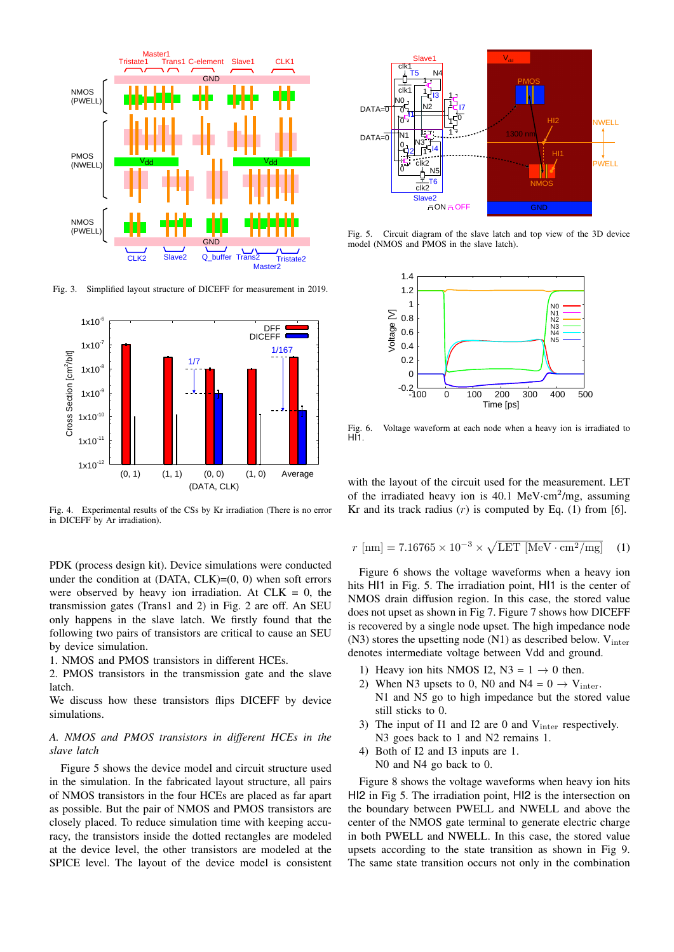

Fig. 3. Simplified layout structure of DICEFF for measurement in 2019.



Fig. 4. Experimental results of the CSs by Kr irradiation (There is no error in DICEFF by Ar irradiation).

PDK (process design kit). Device simulations were conducted under the condition at  $(DATA, CLK)=(0, 0)$  when soft errors were observed by heavy ion irradiation. At  $CLK = 0$ , the transmission gates (Trans1 and 2) in Fig. 2 are off. An SEU only happens in the slave latch. We firstly found that the following two pairs of transistors are critical to cause an SEU by device simulation.

1. NMOS and PMOS transistors in different HCEs.

2. PMOS transistors in the transmission gate and the slave latch.

We discuss how these transistors flips DICEFF by device simulations.

# *A. NMOS and PMOS transistors in different HCEs in the slave latch*

Figure 5 shows the device model and circuit structure used in the simulation. In the fabricated layout structure, all pairs of NMOS transistors in the four HCEs are placed as far apart as possible. But the pair of NMOS and PMOS transistors are closely placed. To reduce simulation time with keeping accuracy, the transistors inside the dotted rectangles are modeled at the device level, the other transistors are modeled at the SPICE level. The layout of the device model is consistent



Fig. 5. Circuit diagram of the slave latch and top view of the 3D device model (NMOS and PMOS in the slave latch).



Fig. 6. Voltage waveform at each node when a heavy ion is irradiated to HI<sub>1</sub>

with the layout of the circuit used for the measurement. LET of the irradiated heavy ion is 40.1 MeV*·*cm<sup>2</sup> /mg, assuming Kr and its track radius  $(r)$  is computed by Eq.  $(1)$  from [6].

$$
r \text{ [nm]} = 7.16765 \times 10^{-3} \times \sqrt{\text{LET [MeV} \cdot \text{cm}^2/\text{mg}]}
$$
 (1)

Figure 6 shows the voltage waveforms when a heavy ion hits HI1 in Fig. 5. The irradiation point, HI1 is the center of NMOS drain diffusion region. In this case, the stored value does not upset as shown in Fig 7. Figure 7 shows how DICEFF is recovered by a single node upset. The high impedance node  $(N3)$  stores the upsetting node  $(N1)$  as described below.  $V_{inter}$ denotes intermediate voltage between Vdd and ground.

- 1) Heavy ion hits NMOS I2, N3 =  $1 \rightarrow 0$  then.
- 2) When N3 upsets to 0, N0 and N4 =  $0 \rightarrow V_{inter}$ . N1 and N5 go to high impedance but the stored value still sticks to 0.
- 3) The input of I1 and I2 are 0 and  $V_{inter}$  respectively. N<sub>3</sub> goes back to 1 and N<sub>2</sub> remains 1.
- 4) Both of I2 and I3 inputs are 1. N0 and N4 go back to 0.

Figure 8 shows the voltage waveforms when heavy ion hits HI2 in Fig 5. The irradiation point, HI2 is the intersection on the boundary between PWELL and NWELL and above the center of the NMOS gate terminal to generate electric charge in both PWELL and NWELL. In this case, the stored value upsets according to the state transition as shown in Fig 9. The same state transition occurs not only in the combination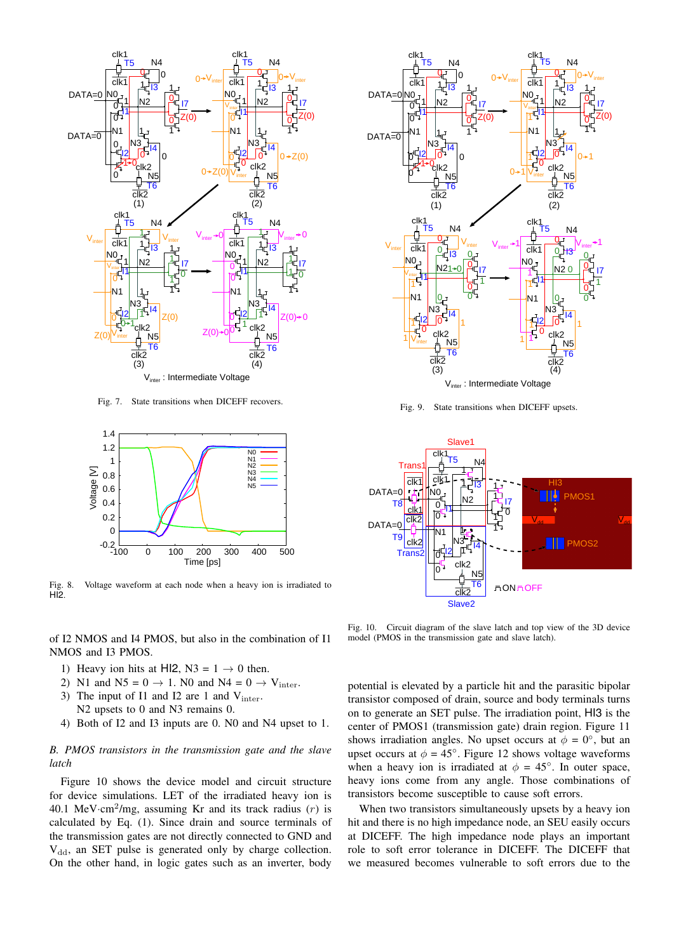

Fig. 7. State transitions when DICEFF recovers.



Fig. 8. Voltage waveform at each node when a heavy ion is irradiated to HI2.

of I2 NMOS and I4 PMOS, but also in the combination of I1 NMOS and I3 PMOS.

- 1) Heavy ion hits at HI2,  $N3 = 1 \rightarrow 0$  then.
- 2) N1 and  $N5 = 0 \rightarrow 1$ . N0 and  $N4 = 0 \rightarrow V_{inter}$ .
- 3) The input of I1 and I2 are 1 and  $V_{inter}$ . N2 upsets to 0 and N3 remains 0.
- 4) Both of I2 and I3 inputs are 0. N0 and N4 upset to 1.

# *B. PMOS transistors in the transmission gate and the slave latch*

Figure 10 shows the device model and circuit structure for device simulations. LET of the irradiated heavy ion is 40.1 MeV*·*cm<sup>2</sup> /mg, assuming Kr and its track radius (*r*) is calculated by Eq. (1). Since drain and source terminals of the transmission gates are not directly connected to GND and  $V_{dd}$ , an SET pulse is generated only by charge collection. On the other hand, in logic gates such as an inverter, body



Fig. 9. State transitions when DICEFF upsets.



Fig. 10. Circuit diagram of the slave latch and top view of the 3D device model (PMOS in the transmission gate and slave latch).

potential is elevated by a particle hit and the parasitic bipolar transistor composed of drain, source and body terminals turns on to generate an SET pulse. The irradiation point, HI3 is the center of PMOS1 (transmission gate) drain region. Figure 11 shows irradiation angles. No upset occurs at  $\phi = 0^\circ$ , but an upset occurs at  $\phi = 45^\circ$ . Figure 12 shows voltage waveforms when a heavy ion is irradiated at  $\phi = 45^\circ$ . In outer space, heavy ions come from any angle. Those combinations of transistors become susceptible to cause soft errors.

When two transistors simultaneously upsets by a heavy ion hit and there is no high impedance node, an SEU easily occurs at DICEFF. The high impedance node plays an important role to soft error tolerance in DICEFF. The DICEFF that we measured becomes vulnerable to soft errors due to the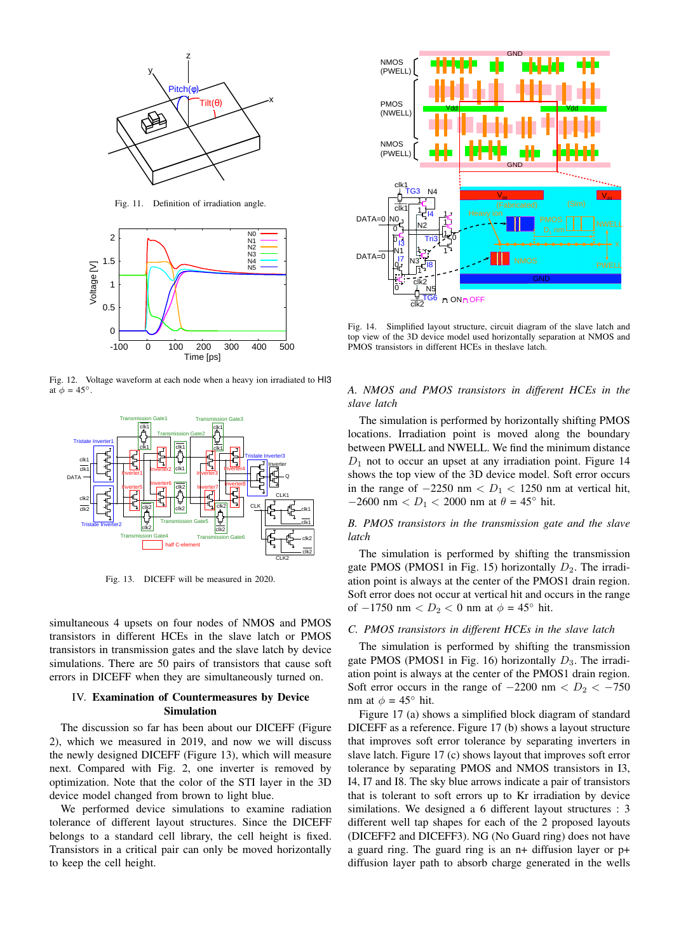

Fig. 11. Definition of irradiation angle.



Fig. 12. Voltage waveform at each node when a heavy ion irradiated to HI3 at  $\phi = 45^\circ$ .



Fig. 13. DICEFF will be measured in 2020.

simultaneous 4 upsets on four nodes of NMOS and PMOS transistors in different HCEs in the slave latch or PMOS transistors in transmission gates and the slave latch by device simulations. There are 50 pairs of transistors that cause soft errors in DICEFF when they are simultaneously turned on.

# IV. Examination of Countermeasures by Device Simulation

The discussion so far has been about our DICEFF (Figure 2), which we measured in 2019, and now we will discuss the newly designed DICEFF (Figure 13), which will measure next. Compared with Fig. 2, one inverter is removed by optimization. Note that the color of the STI layer in the 3D device model changed from brown to light blue.

We performed device simulations to examine radiation tolerance of different layout structures. Since the DICEFF belongs to a standard cell library, the cell height is fixed. Transistors in a critical pair can only be moved horizontally to keep the cell height.



Fig. 14. Simplified layout structure, circuit diagram of the slave latch and top view of the 3D device model used horizontally separation at NMOS and PMOS transistors in different HCEs in theslave latch.

# *A. NMOS and PMOS transistors in different HCEs in the slave latch*

The simulation is performed by horizontally shifting PMOS locations. Irradiation point is moved along the boundary between PWELL and NWELL. We find the minimum distance *D*<sup>1</sup> not to occur an upset at any irradiation point. Figure 14 shows the top view of the 3D device model. Soft error occurs in the range of *−*2250 nm *< D*<sup>1</sup> *<* 1250 nm at vertical hit, *−*2600 nm *< D*<sup>1</sup> *<* 2000 nm at *θ* = 45*◦* hit.

*B. PMOS transistors in the transmission gate and the slave latch*

The simulation is performed by shifting the transmission gate PMOS (PMOS1 in Fig. 15) horizontally  $D_2$ . The irradiation point is always at the center of the PMOS1 drain region. Soft error does not occur at vertical hit and occurs in the range of *−*1750 nm *< D*<sup>2</sup> *<* 0 nm at *ϕ* = 45*◦* hit.

## *C. PMOS transistors in different HCEs in the slave latch*

The simulation is performed by shifting the transmission gate PMOS (PMOS1 in Fig. 16) horizontally  $D_3$ . The irradiation point is always at the center of the PMOS1 drain region. Soft error occurs in the range of  $-2200$  nm  $\lt D_2 \lt -750$ nm at  $\phi = 45^\circ$  hit.

Figure 17 (a) shows a simplified block diagram of standard DICEFF as a reference. Figure 17 (b) shows a layout structure that improves soft error tolerance by separating inverters in slave latch. Figure 17 (c) shows layout that improves soft error tolerance by separating PMOS and NMOS transistors in I3, I4, I7 and I8. The sky blue arrows indicate a pair of transistors that is tolerant to soft errors up to Kr irradiation by device similations. We designed a 6 different layout structures : 3 different well tap shapes for each of the 2 proposed layouts (DICEFF2 and DICEFF3). NG (No Guard ring) does not have a guard ring. The guard ring is an n+ diffusion layer or p+ diffusion layer path to absorb charge generated in the wells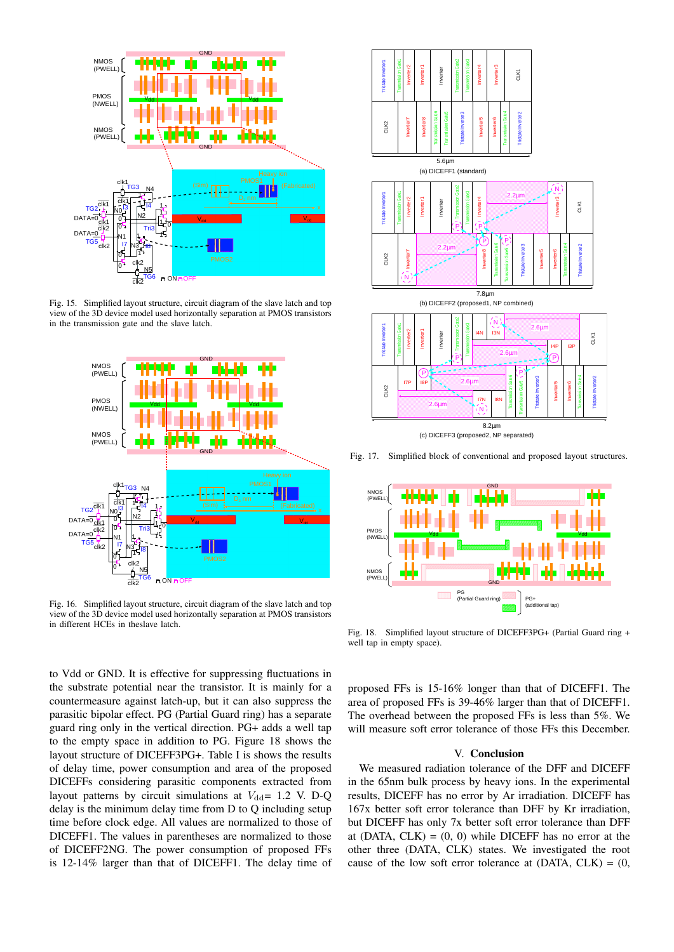

Fig. 15. Simplified layout structure, circuit diagram of the slave latch and top view of the 3D device model used horizontally separation at PMOS transistors in the transmission gate and the slave latch.



Fig. 16. Simplified layout structure, circuit diagram of the slave latch and top view of the 3D device model used horizontally separation at PMOS transistors in different HCEs in theslave latch.

to Vdd or GND. It is effective for suppressing fluctuations in the substrate potential near the transistor. It is mainly for a countermeasure against latch-up, but it can also suppress the parasitic bipolar effect. PG (Partial Guard ring) has a separate guard ring only in the vertical direction. PG+ adds a well tap to the empty space in addition to PG. Figure 18 shows the layout structure of DICEFF3PG+. Table I is shows the results of delay time, power consumption and area of the proposed DICEFFs considering parasitic components extracted from layout patterns by circuit simulations at  $V_{dd}= 1.2$  V. D-Q delay is the minimum delay time from D to Q including setup time before clock edge. All values are normalized to those of DICEFF1. The values in parentheses are normalized to those of DICEFF2NG. The power consumption of proposed FFs is 12-14% larger than that of DICEFF1. The delay time of



(b) DICEFF2 (proposed1, NP combined)

CLK1

Tristate Inverter2<br>T

Transmission Gate4



Fig. 17. Simplified block of conventional and proposed layout structures.



Fig. 18. Simplified layout structure of DICEFF3PG+ (Partial Guard ring + well tap in empty space).

proposed FFs is 15-16% longer than that of DICEFF1. The area of proposed FFs is 39-46% larger than that of DICEFF1. The overhead between the proposed FFs is less than 5%. We will measure soft error tolerance of those FFs this December.

## V. Conclusion

We measured radiation tolerance of the DFF and DICEFF in the 65nm bulk process by heavy ions. In the experimental results, DICEFF has no error by Ar irradiation. DICEFF has 167x better soft error tolerance than DFF by Kr irradiation, but DICEFF has only 7x better soft error tolerance than DFF at (DATA,  $CLK$ ) = (0, 0) while DICEFF has no error at the other three (DATA, CLK) states. We investigated the root cause of the low soft error tolerance at  $(DATA, CLK) = (0,$